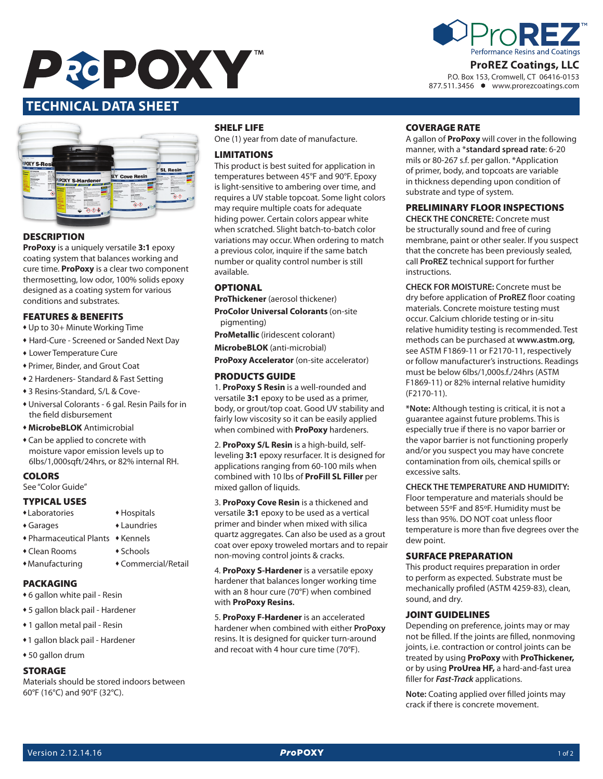



P.O. Box 153, Cromwell, CT 06416-0153 877.511.3456 www.prorezcoatings.com

# **Date Issued: 10/01/2014 Version: 1.0 TECHNICAL DATA SHEET**



### **DESCRIPTION**

**ProPoxy** is a uniquely versatile **3:1** epoxy coating system that balances working and cure time. **ProPoxy** is a clear two component thermosetting, low odor, 100% solids epoxy designed as a coating system for various conditions and substrates.

### FEATURES & BENEFITS

- Up to 30+ Minute Working Time
- Hard-Cure Screened or Sanded Next Day
- Lower Temperature Cure
- <sup>u</sup> Primer, Binder, and Grout Coat
- 2 Hardeners- Standard & Fast Setting
- ◆ 3 Resins-Standard, S/L & Cove-
- $*$  Universal Colorants 6 gal. Resin Pails for in the field disbursement
- **+ MicrobeBLOK** Antimicrobial
- Can be applied to concrete with moisture vapor emission levels up to 6lbs/1,000sqft/24hrs, or 82% internal RH.

### **COLORS**

See "Color Guide"

### TYPICAL USES

- \*Laboratories \*Hospitals
- Garages Laundries
- $\triangle$  Pharmaceutical Plants  $\triangle$  Kennels
- Clean Rooms Schools
- \*Manufacturing \*Commercial/Retail
- PACKAGING
- 6 gallon white pail Resin
- \* 5 gallon black pail Hardener
- 1 gallon metal pail Resin
- ◆1 gallon black pail Hardener
- 50 gallon drum

### STORAGE

Materials should be stored indoors between 60°F (16°C) and 90°F (32°C).

#### SHELF LIFE

One (1) year from date of manufacture.

### LIMITATIONS

This product is best suited for application in temperatures between 45°F and 90°F. Epoxy is light-sensitive to ambering over time, and requires a UV stable topcoat. Some light colors may require multiple coats for adequate hiding power. Certain colors appear white when scratched. Slight batch-to-batch color variations may occur. When ordering to match a previous color, inquire if the same batch number or quality control number is still available.

### **OPTIONAL**

**ProThickener** (aerosol thickener)

**ProColor Universal Colorants** (on-site pigmenting)

**ProMetallic** (iridescent colorant)

**MicrobeBLOK** (anti-microbial)

**ProPoxy Accelerator** (on-site accelerator)

### PRODUCTS GUIDE

1. **ProPoxy S Resin** is a well-rounded and versatile **3:1** epoxy to be used as a primer, body, or grout/top coat. Good UV stability and fairly low viscosity so it can be easily applied when combined with **ProPoxy** hardeners.

2. **ProPoxy S/L Resin** is a high-build, selfleveling **3:1** epoxy resurfacer. It is designed for applications ranging from 60-100 mils when combined with 10 lbs of **ProFill SL Filler** per mixed gallon of liquids.

3. **ProPoxy Cove Resin** is a thickened and versatile **3:1** epoxy to be used as a vertical primer and binder when mixed with silica quartz aggregates. Can also be used as a grout coat over epoxy troweled mortars and to repair non-moving control joints & cracks.

4. **ProPoxy S-Hardener** is a versatile epoxy hardener that balances longer working time with an 8 hour cure (70°F) when combined with **ProPoxy Resins.**

5. **ProPoxy F-Hardener** is an accelerated hardener when combined with either **ProPoxy** resins. It is designed for quicker turn-around and recoat with 4 hour cure time (70°F).

#### COVERAGE RATE

A gallon of **ProPoxy** will cover in the following manner, with a \***standard spread rate**: 6-20 mils or 80-267 s.f. per gallon. \*Application of primer, body, and topcoats are variable in thickness depending upon condition of substrate and type of system.

### PRELIMINARY FLOOR INSPECTIONS

**CHECK THE CONCRETE:** Concrete must be structurally sound and free of curing membrane, paint or other sealer. If you suspect that the concrete has been previously sealed, call **ProREZ** technical support for further instructions.

**CHECK FOR MOISTURE:** Concrete must be dry before application of **ProREZ** floor coating materials. Concrete moisture testing must occur. Calcium chloride testing or in-situ relative humidity testing is recommended. Test methods can be purchased at **www.astm.org**, see ASTM F1869-11 or F2170-11, respectively or follow manufacturer's instructions. Readings must be below 6lbs/1,000s.f./24hrs (ASTM F1869-11) or 82% internal relative humidity (F2170-11).

**\*Note:** Although testing is critical, it is not a guarantee against future problems. This is especially true if there is no vapor barrier or the vapor barrier is not functioning properly and/or you suspect you may have concrete contamination from oils, chemical spills or excessive salts.

### **CHECK THE TEMPERATURE AND HUMIDITY:**

Floor temperature and materials should be between 55ºF and 85ºF. Humidity must be less than 95%. DO NOT coat unless floor temperature is more than five degrees over the dew point.

#### SURFACE PREPARATION

This product requires preparation in order to perform as expected. Substrate must be mechanically profiled (ASTM 4259-83), clean, sound, and dry.

#### JOINT GUIDELINES

Depending on preference, joints may or may not be filled. If the joints are filled, nonmoving joints, i.e. contraction or control joints can be treated by using **ProPoxy** with **ProThickener,**  or by using **ProUrea HF,** a hard-and-fast urea filler for *Fast-Track* applications.

**Note:** Coating applied over filled joints may crack if there is concrete movement.